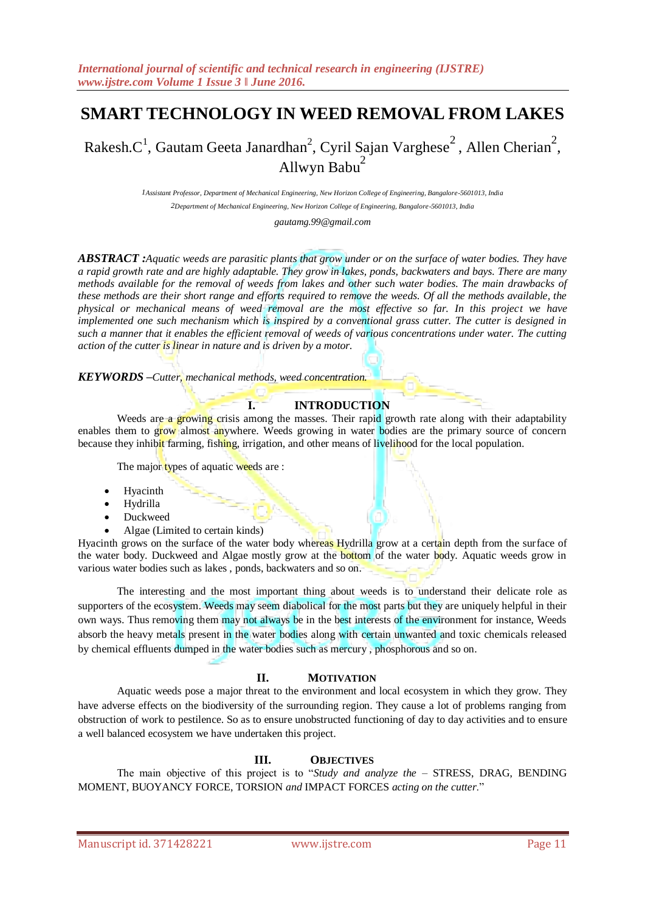# **SMART TECHNOLOGY IN WEED REMOVAL FROM LAKES**

Rakesh.C<sup>1</sup>, Gautam Geeta Janardhan<sup>2</sup>, Cyril Sajan Varghese<sup>2</sup>, Allen Cherian<sup>2</sup>, Allwyn Babu $<sup>2</sup>$ </sup>

> *1Assistant Professor, Department of Mechanical Engineering, New Horizon College of Engineering, Bangalore-5601013, India 2Department of Mechanical Engineering, New Horizon College of Engineering, Bangalore-5601013, India*

> > *gautamg.99@gmail.com*

*ABSTRACT :Aquatic weeds are parasitic plants that grow under or on the surface of water bodies. They have a rapid growth rate and are highly adaptable. They grow in lakes, ponds, backwaters and bays. There are many methods available for the removal of weeds from lakes and other such water bodies. The main drawbacks of these methods are their short range and efforts required to remove the weeds. Of all the methods available, the physical or mechanical means of weed removal are the most effective so far. In this project we have implemented one such mechanism which is inspired by a conventional grass cutter. The cutter is designed in such a manner that it enables the efficient removal of weeds of various concentrations under water. The cutting action of the cutter is linear in nature and is driven by a motor.*

*KEYWORDS –Cutter, mechanical methods, weed concentration.*

# **I. INTRODUCTION**

Weeds are a growing crisis among the masses. Their rapid growth rate along with their adaptability enables them to grow almost anywhere. Weeds growing in water bodies are the primary source of concern because they inhibit farming, fishing, irrigation, and other means of livelihood for the local population.

The major types of aquatic weeds are :

- Hyacinth
- Hydrilla
- Duckweed
- Algae (Limited to certain kinds)

Hyacinth grows on the surface of the water body whereas Hydrilla grow at a certain depth from the surface of the water body. Duckweed and Algae mostly grow at the bottom of the water body. Aquatic weeds grow in various water bodies such as lakes , ponds, backwaters and so on.

The interesting and the most important thing about weeds is to understand their delicate role as supporters of the ecosystem. Weeds may seem diabolical for the most parts but they are uniquely helpful in their own ways. Thus removing them may not always be in the best interests of the environment for instance, Weeds absorb the heavy metals present in the water bodies along with certain unwanted and toxic chemicals released by chemical effluents dumped in the water bodies such as mercury , phosphorous and so on.

## **II. MOTIVATION**

Aquatic weeds pose a major threat to the environment and local ecosystem in which they grow. They have adverse effects on the biodiversity of the surrounding region. They cause a lot of problems ranging from obstruction of work to pestilence. So as to ensure unobstructed functioning of day to day activities and to ensure a well balanced ecosystem we have undertaken this project.

## **III. OBJECTIVES**

The main objective of this project is to "*Study and analyze the* – STRESS, DRAG, BENDING MOMENT, BUOYANCY FORCE, TORSION *and* IMPACT FORCES *acting on the cutter*."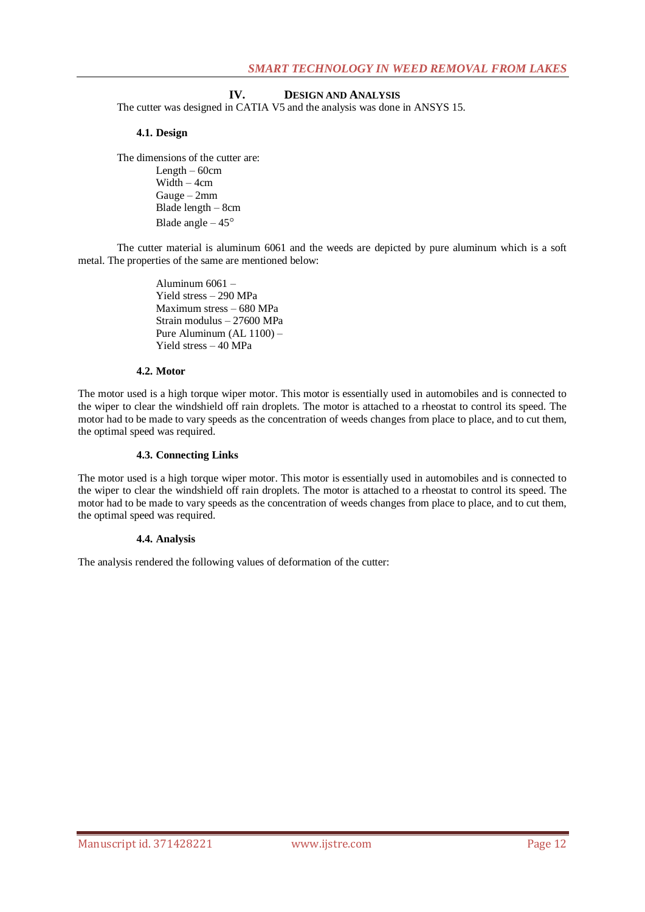## **IV. DESIGN AND ANALYSIS**

The cutter was designed in CATIA V5 and the analysis was done in ANSYS 15.

#### **4.1. Design**

The dimensions of the cutter are: Length  $-60$ cm Width – 4cm Gauge – 2mm Blade length – 8cm Blade angle  $-45^\circ$ 

The cutter material is aluminum 6061 and the weeds are depicted by pure aluminum which is a soft metal. The properties of the same are mentioned below:

> Aluminum 6061 – Yield stress – 290 MPa Maximum stress – 680 MPa Strain modulus – 27600 MPa Pure Aluminum (AL 1100) – Yield stress – 40 MPa

## **4.2. Motor**

The motor used is a high torque wiper motor. This motor is essentially used in automobiles and is connected to the wiper to clear the windshield off rain droplets. The motor is attached to a rheostat to control its speed. The motor had to be made to vary speeds as the concentration of weeds changes from place to place, and to cut them, the optimal speed was required.

#### **4.3. Connecting Links**

The motor used is a high torque wiper motor. This motor is essentially used in automobiles and is connected to the wiper to clear the windshield off rain droplets. The motor is attached to a rheostat to control its speed. The motor had to be made to vary speeds as the concentration of weeds changes from place to place, and to cut them, the optimal speed was required.

#### **4.4. Analysis**

The analysis rendered the following values of deformation of the cutter: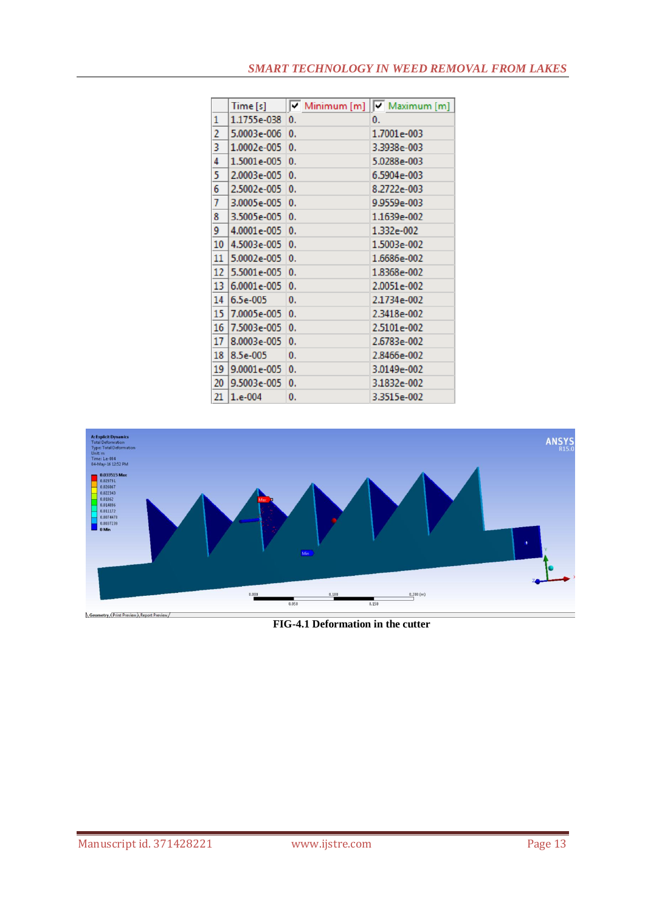## *SMART TECHNOLOGY IN WEED REMOVAL FROM LAKES*

|        | Time [s]    |    | $\sqrt{\phantom{a}}$ Minimum $[m]$ $\sqrt{\phantom{a}}$ Maximum $[m]$ |
|--------|-------------|----|-----------------------------------------------------------------------|
| 1      | 1.1755e-038 | 0. | 0.                                                                    |
| 2      | 5.0003e-006 | 0. | 1.7001e-003                                                           |
| 3      | 1.0002e-005 | 0. | 3.3938e-003                                                           |
| 4      | 1.5001e-005 | 0. | 5.0288e-003                                                           |
| 5      | 2.0003e-005 | 0. | 6.5904e-003                                                           |
| 6      | 2.5002e-005 | 0. | 8.2722e-003                                                           |
| 7      | 3.0005e-005 | 0. | 9.9559e-003                                                           |
| 8      | 3.5005e-005 | 0. | 1.1639e-002                                                           |
| 9      | 4.0001e-005 | 0. | 1.332e-002                                                            |
| 10     | 4.5003e-005 | 0. | 1.5003e-002                                                           |
| $11\,$ | 5.0002e-005 | 0. | 1.6686e-002                                                           |
| 12     | 5.5001e-005 | 0. | 1.8368e-002                                                           |
| 13     | 6.0001e-005 | 0. | 2.0051e-002                                                           |
| 14     | $6.5e-005$  | 0. | 2.1734e-002                                                           |
| 15     | 7.0005e-005 | 0. | 2.3418e-002                                                           |
| 16     | 7.5003e-005 | 0. | 2.5101e-002                                                           |
| 17     | 8.0003e-005 | 0. | 2.6783e-002                                                           |
| 18     | $8.5e-005$  | 0. | 2.8466e-002                                                           |
| 19     | 9.0001e-005 | 0. | 3.0149e-002                                                           |
| 20     | 9.5003e-005 | 0. | 3.1832e-002                                                           |
| 21     | $1.e-004$   | 0. | 3.3515e-002                                                           |



**FIG-4.1 Deformation in the cutter**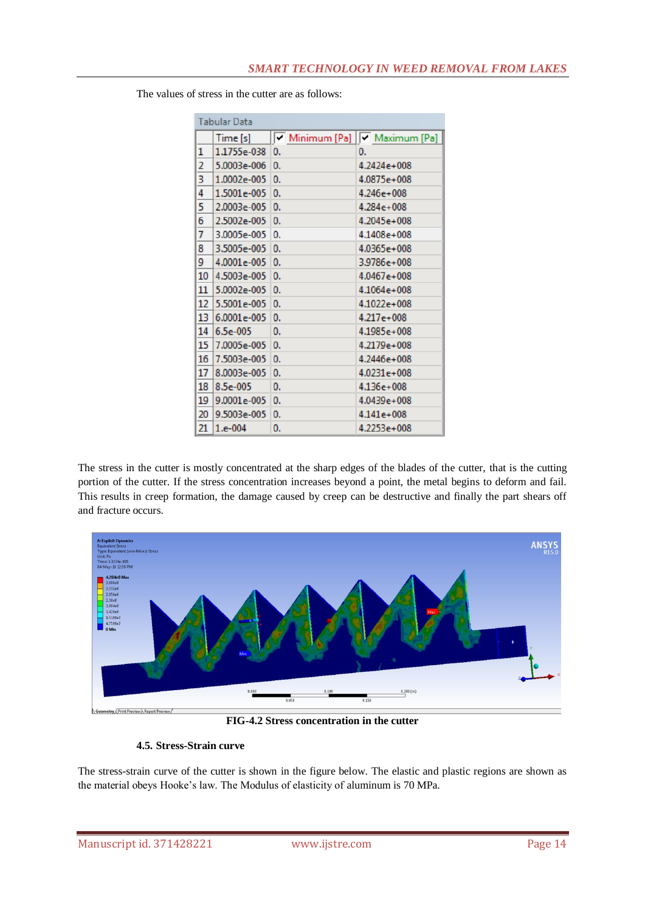| <b>Tabular Data</b> |                  |    |  |    |                             |  |  |
|---------------------|------------------|----|--|----|-----------------------------|--|--|
|                     | Time[s]          |    |  |    | Minimum [Pa] V Maximum [Pa] |  |  |
| 1                   | $1.1755e-038$ 0. |    |  | 0. |                             |  |  |
| 2                   | $5.0003e-006$ 0. |    |  |    | $4.2424e+008$               |  |  |
| 3                   | $1.0002e-005$ 0. |    |  |    | 4.0875e+008                 |  |  |
| 4                   | $1.5001e-005$ 0. |    |  |    | $4.246e+008$                |  |  |
| 5                   | $2.0003e-005$ 0. |    |  |    | $4.284e+008$                |  |  |
| 6                   | $2.5002e-005$ 0. |    |  |    | $4.2045e+008$               |  |  |
| 7                   | $3.0005e-005$ 0. |    |  |    | 4.1408e+008                 |  |  |
| 8                   | $3.5005e-005$ 0. |    |  |    | 4.0365e+008                 |  |  |
| 9                   | $4.0001e-005$ 0. |    |  |    | 3.9786e+008                 |  |  |
| 10                  | $4.5003e-005$ 0. |    |  |    | $4.0467e+008$               |  |  |
| 11                  | $5.0002e-005$ 0. |    |  |    | $4.1064e+008$               |  |  |
| 12                  | $5.5001e-005$ 0. |    |  |    | $4.1022e+008$               |  |  |
| 13                  | $6.0001e-005$ 0. |    |  |    | $4.217e+008$                |  |  |
| 14                  | $6.5e-005$       | 0. |  |    | 4.1985e+008                 |  |  |
| 15                  | 7.0005e-005 0.   |    |  |    | 4.2179e+008                 |  |  |
| 16                  | 7.5003e-005 0.   |    |  |    | 4.2446e+008                 |  |  |
| 17                  | $8.0003e-005$ 0. |    |  |    | $4.0231e+008$               |  |  |
| 18                  | $8.5e - 005$     | 0. |  |    | $4.136e+008$                |  |  |
| 19                  | $9.0001e-005$ 0. |    |  |    | 4.0439e+008                 |  |  |
| 20                  | 9.5003e-005 0.   |    |  |    | $4.141e+008$                |  |  |
| 21                  | $1.e-004$        | 0. |  |    | 4.2253e+008                 |  |  |

The values of stress in the cutter are as follows:

The stress in the cutter is mostly concentrated at the sharp edges of the blades of the cutter, that is the cutting portion of the cutter. If the stress concentration increases beyond a point, the metal begins to deform and fail. This results in creep formation, the damage caused by creep can be destructive and finally the part shears off and fracture occurs.



**FIG-4.2 Stress concentration in the cutter** 

### **4.5. Stress-Strain curve**

The stress-strain curve of the cutter is shown in the figure below. The elastic and plastic regions are shown as the material obeys Hooke's law. The Modulus of elasticity of aluminum is 70 MPa.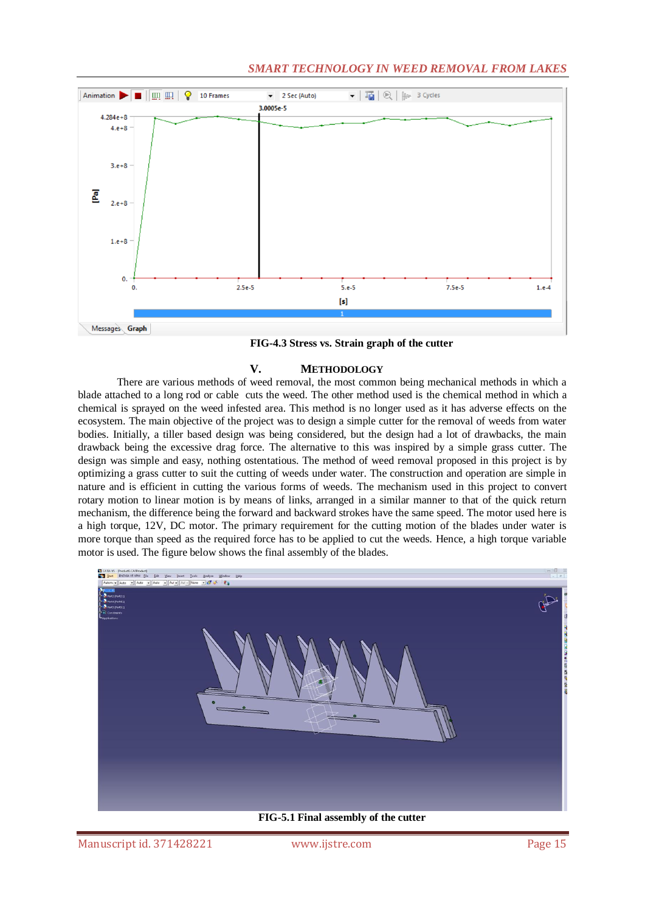## *SMART TECHNOLOGY IN WEED REMOVAL FROM LAKES*



**FIG-4.3 Stress vs. Strain graph of the cutter** 

## **V. METHODOLOGY**

There are various methods of weed removal, the most common being mechanical methods in which a blade attached to a long rod or cable cuts the weed. The other method used is the chemical method in which a chemical is sprayed on the weed infested area. This method is no longer used as it has adverse effects on the ecosystem. The main objective of the project was to design a simple cutter for the removal of weeds from water bodies. Initially, a tiller based design was being considered, but the design had a lot of drawbacks, the main drawback being the excessive drag force. The alternative to this was inspired by a simple grass cutter. The design was simple and easy, nothing ostentatious. The method of weed removal proposed in this project is by optimizing a grass cutter to suit the cutting of weeds under water. The construction and operation are simple in nature and is efficient in cutting the various forms of weeds. The mechanism used in this project to convert rotary motion to linear motion is by means of links, arranged in a similar manner to that of the quick return mechanism, the difference being the forward and backward strokes have the same speed. The motor used here is a high torque, 12V, DC motor. The primary requirement for the cutting motion of the blades under water is more torque than speed as the required force has to be applied to cut the weeds. Hence, a high torque variable motor is used. The figure below shows the final assembly of the blades.



**FIG-5.1 Final assembly of the cutter**

Manuscript id. 371428221 www.ijstre.com Page 15